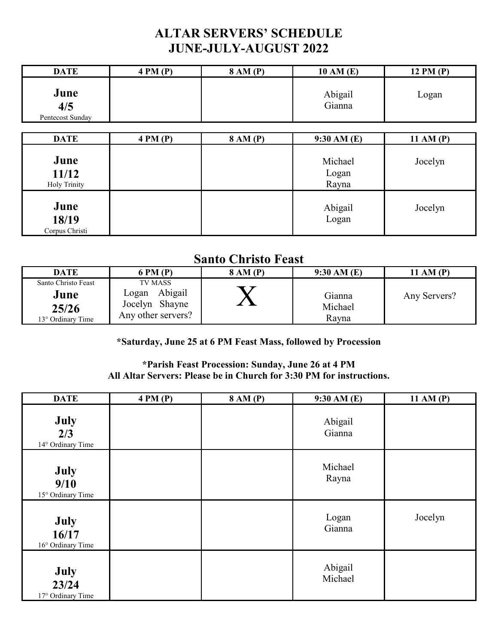## **ALTAR SERVERS' SCHEDULE JUNE-JULY-AUGUST 2022**

| <b>DATE</b>                          | 4 PM(P) | 8 AM (P) | 10 AM (E)                 | 12 PM (P)   |
|--------------------------------------|---------|----------|---------------------------|-------------|
| June<br>4/5<br>Pentecost Sunday      |         |          | Abigail<br>Gianna         | Logan       |
| <b>DATE</b>                          | 4 PM(P) | 8 AM (P) | 9:30 AM(E)                | 11 AM $(P)$ |
| June<br>11/12<br><b>Holy Trinity</b> |         |          | Michael<br>Logan<br>Rayna | Jocelyn     |
| June<br>18/19<br>Corpus Christi      |         |          | Abigail<br>Logan          | Jocelyn     |

## **Santo Christo Feast**

| ----------------------                                    |                                                                     |                 |                            |              |
|-----------------------------------------------------------|---------------------------------------------------------------------|-----------------|----------------------------|--------------|
| <b>DATE</b>                                               | 6 PM (P)                                                            | <b>8 AM (P)</b> | 9:30 AM(E)                 | 11 AM (P)    |
| Santo Christo Feast<br>June<br>25/26<br>13° Ordinary Time | TV MASS<br>Abigail<br>Logan<br>Jocelyn Shayne<br>Any other servers? |                 | Gianna<br>Michael<br>Rayna | Any Servers? |

## **\*Saturday, June 25 at 6 PM Feast Mass, followed by Procession**

## **\*Parish Feast Procession: Sunday, June 26 at 4 PM All Altar Servers: Please be in Church for 3:30 PM for instructions.**

| <b>DATE</b>                        | 4 PM(P) | 8 AM (P) | 9:30 AM (E)        | 11 AM (P) |
|------------------------------------|---------|----------|--------------------|-----------|
| July<br>2/3<br>14° Ordinary Time   |         |          | Abigail<br>Gianna  |           |
| July<br>9/10<br>15° Ordinary Time  |         |          | Michael<br>Rayna   |           |
| July<br>16/17<br>16° Ordinary Time |         |          | Logan<br>Gianna    | Jocelyn   |
| July<br>23/24<br>17° Ordinary Time |         |          | Abigail<br>Michael |           |